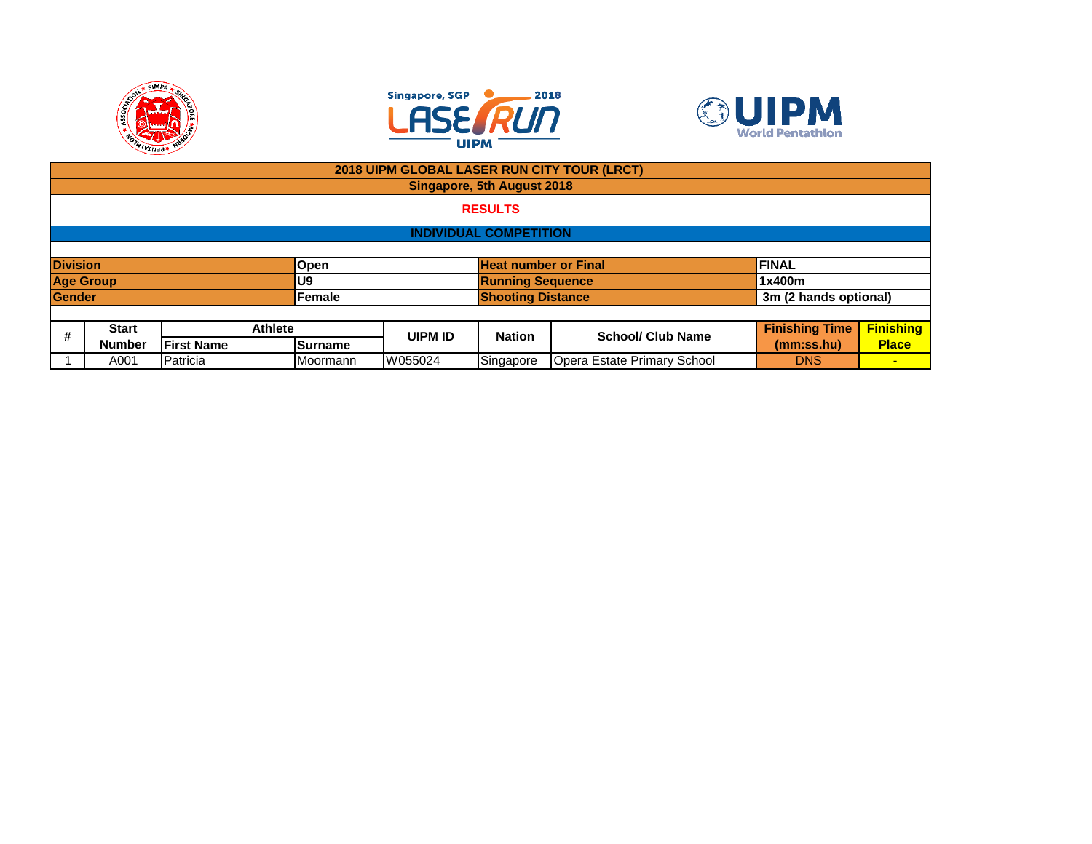





|                 |                               |                   |                |                |                            | 2018 UIPM GLOBAL LASER RUN CITY TOUR (LRCT) |                       |                  |  |  |  |
|-----------------|-------------------------------|-------------------|----------------|----------------|----------------------------|---------------------------------------------|-----------------------|------------------|--|--|--|
|                 |                               |                   |                |                | Singapore, 5th August 2018 |                                             |                       |                  |  |  |  |
|                 | <b>RESULTS</b>                |                   |                |                |                            |                                             |                       |                  |  |  |  |
|                 | <b>INDIVIDUAL COMPETITION</b> |                   |                |                |                            |                                             |                       |                  |  |  |  |
|                 |                               |                   |                |                |                            |                                             |                       |                  |  |  |  |
| <b>Division</b> |                               |                   | <b>Open</b>    |                |                            | <b>Heat number or Final</b>                 | <b>FINAL</b>          |                  |  |  |  |
|                 | <b>Age Group</b>              |                   | U9             |                |                            | <b>Running Sequence</b>                     | 1x400m                |                  |  |  |  |
| <b>Gender</b>   |                               |                   | Female         |                | <b>Shooting Distance</b>   |                                             | 3m (2 hands optional) |                  |  |  |  |
|                 |                               |                   |                |                |                            |                                             |                       |                  |  |  |  |
| #               | <b>Start</b>                  | <b>Athlete</b>    |                | <b>UIPM ID</b> | <b>Nation</b>              | <b>School/ Club Name</b>                    | <b>Finishing Time</b> | <b>Finishing</b> |  |  |  |
|                 | <b>Number</b>                 | <b>First Name</b> | <b>Surname</b> |                |                            |                                             | (mm:ss.hu)            | <b>Place</b>     |  |  |  |
|                 | Patricia<br>A001              |                   | Moormann       | W055024        | Singapore                  | Opera Estate Primary School                 | <b>DNS</b>            | $\sim$           |  |  |  |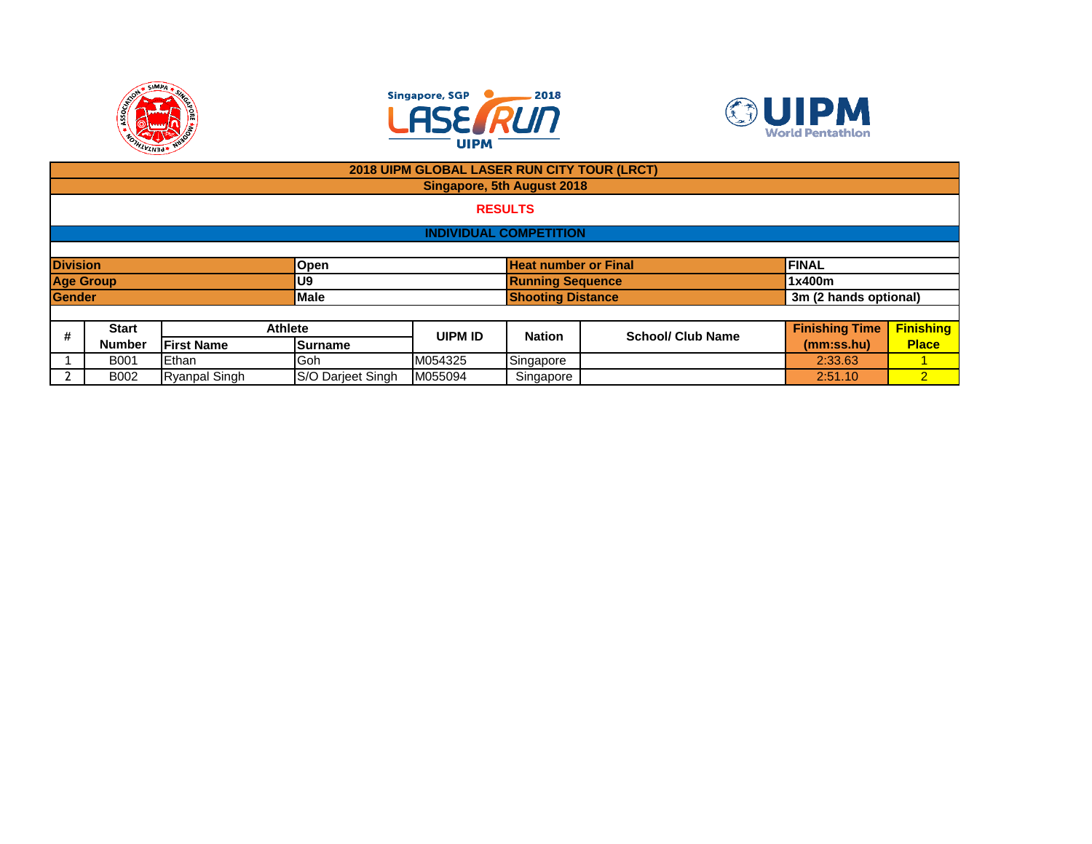





|                 |                                                   |                   |                | 2018 UIPM GLOBAL LASER RUN CITY TOUR (LRCT) |                                   |                          |                       |                  |  |  |
|-----------------|---------------------------------------------------|-------------------|----------------|---------------------------------------------|-----------------------------------|--------------------------|-----------------------|------------------|--|--|
|                 |                                                   |                   |                |                                             | <b>Singapore, 5th August 2018</b> |                          |                       |                  |  |  |
|                 | <b>RESULTS</b>                                    |                   |                |                                             |                                   |                          |                       |                  |  |  |
|                 | <b>INDIVIDUAL COMPETITION</b>                     |                   |                |                                             |                                   |                          |                       |                  |  |  |
|                 |                                                   |                   |                |                                             |                                   |                          |                       |                  |  |  |
| <b>Division</b> |                                                   |                   | Open           | <b>Heat number or Final</b>                 |                                   |                          | <b>FINAL</b>          |                  |  |  |
|                 | <b>Age Group</b>                                  |                   | U9             |                                             | <b>Running Sequence</b>           |                          | 1x400m                |                  |  |  |
| <b>Gender</b>   |                                                   |                   | <b>Male</b>    | <b>Shooting Distance</b>                    |                                   |                          | 3m (2 hands optional) |                  |  |  |
|                 |                                                   |                   |                |                                             |                                   |                          |                       |                  |  |  |
| #               | <b>Start</b>                                      |                   | <b>Athlete</b> | <b>UIPM ID</b>                              | <b>Nation</b>                     | <b>School/ Club Name</b> | <b>Finishing Time</b> | <b>Finishing</b> |  |  |
|                 | <b>Number</b>                                     | <b>First Name</b> | Surname        |                                             |                                   |                          | (mm:ss.hu)            | <b>Place</b>     |  |  |
|                 | <b>B001</b>                                       | Ethan             | Goh            | M054325                                     | Singapore                         |                          | 2:33.63               |                  |  |  |
|                 | S/O Darjeet Singh<br><b>Ryanpal Singh</b><br>B002 |                   |                | M055094                                     | Singapore                         |                          | 2:51.10               | 2 <sub>1</sub>   |  |  |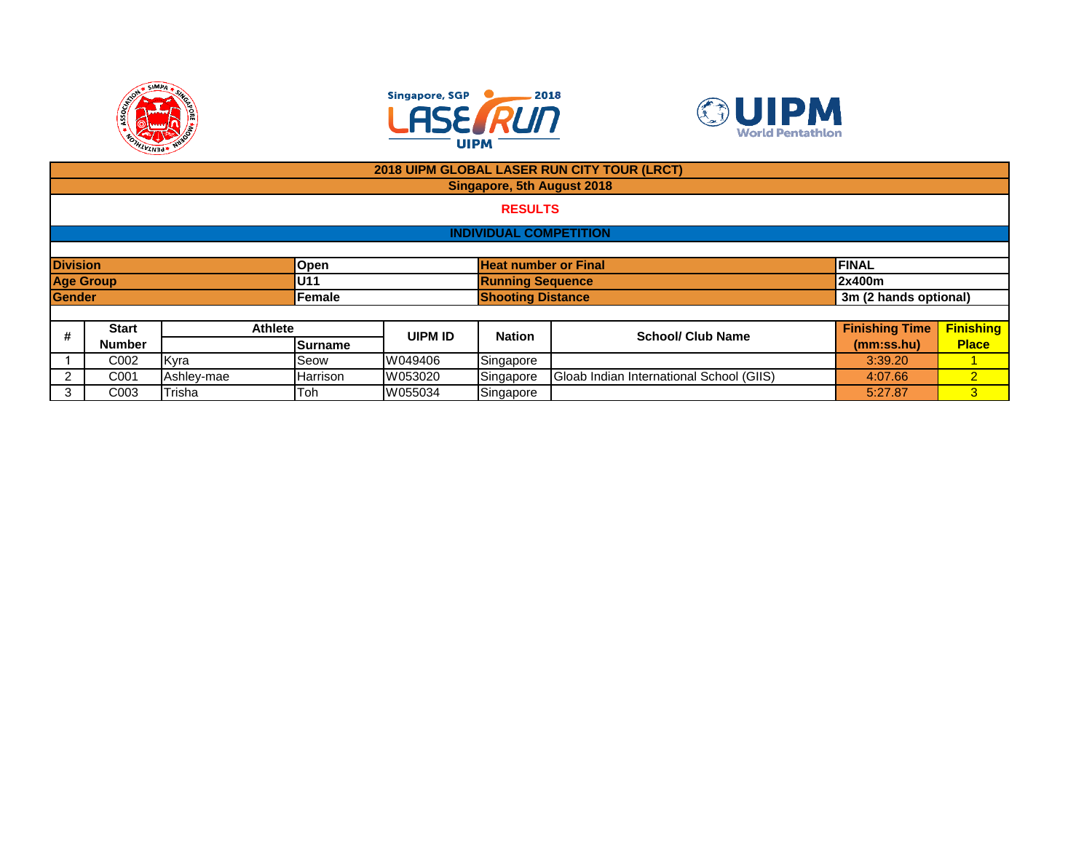





|                  | 2018 UIPM GLOBAL LASER RUN CITY TOUR (LRCT)                     |                |          |         |                               |                                          |                       |                  |  |  |  |  |
|------------------|-----------------------------------------------------------------|----------------|----------|---------|-------------------------------|------------------------------------------|-----------------------|------------------|--|--|--|--|
|                  |                                                                 |                |          |         | Singapore, 5th August 2018    |                                          |                       |                  |  |  |  |  |
|                  | <b>RESULTS</b>                                                  |                |          |         |                               |                                          |                       |                  |  |  |  |  |
|                  |                                                                 |                |          |         | <b>INDIVIDUAL COMPETITION</b> |                                          |                       |                  |  |  |  |  |
|                  |                                                                 |                |          |         |                               |                                          |                       |                  |  |  |  |  |
|                  | <b>Division</b><br><b>Heat number or Final</b><br>FINAL<br>Open |                |          |         |                               |                                          |                       |                  |  |  |  |  |
| <b>Age Group</b> |                                                                 |                | U11      |         | <b>Running Sequence</b>       |                                          | 2x400m                |                  |  |  |  |  |
| <b>Gender</b>    |                                                                 |                | Female   |         | <b>Shooting Distance</b>      |                                          | 3m (2 hands optional) |                  |  |  |  |  |
|                  |                                                                 |                |          |         |                               |                                          |                       |                  |  |  |  |  |
| #                | <b>Start</b>                                                    | <b>Athlete</b> |          | UIPM ID | <b>Nation</b>                 | <b>School/ Club Name</b>                 | <b>Finishing Time</b> | <b>Finishing</b> |  |  |  |  |
|                  | <b>Number</b>                                                   |                | Surname  |         |                               |                                          | (mm:ss.hu)            | <b>Place</b>     |  |  |  |  |
|                  | C <sub>0</sub> 02                                               | Kyra           | Seow     | W049406 | Singapore                     |                                          | 3:39.20               |                  |  |  |  |  |
| 2                | C <sub>001</sub>                                                | Ashley-mae     | Harrison | W053020 | Singapore                     | Gloab Indian International School (GIIS) | 4:07.66               | $\overline{2}$   |  |  |  |  |
| 3                | Trisha<br>Toh<br>W055034<br>Singapore<br>C <sub>003</sub>       |                |          |         |                               |                                          | 5:27.87               | 3 <sup>1</sup>   |  |  |  |  |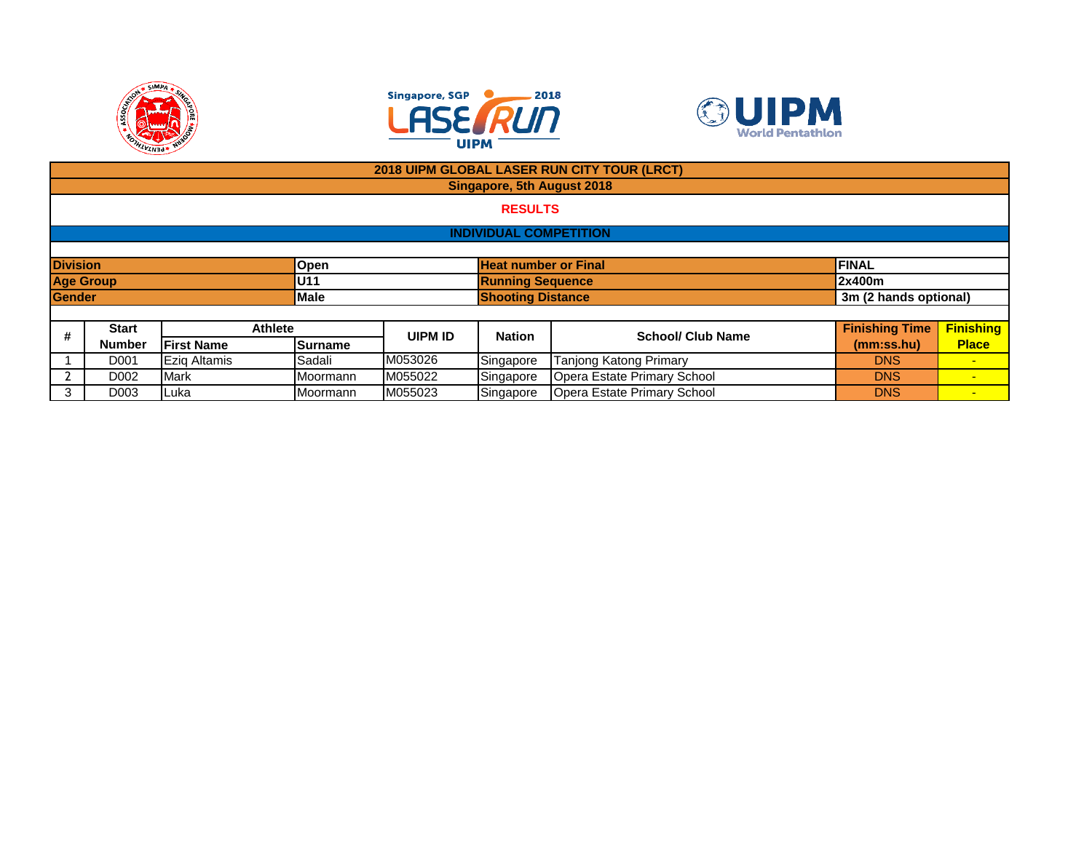





|                  | 2018 UIPM GLOBAL LASER RUN CITY TOUR (LRCT)                                                        |                   |             |                |                            |                             |                       |                       |  |  |  |  |
|------------------|----------------------------------------------------------------------------------------------------|-------------------|-------------|----------------|----------------------------|-----------------------------|-----------------------|-----------------------|--|--|--|--|
|                  |                                                                                                    |                   |             |                | Singapore, 5th August 2018 |                             |                       |                       |  |  |  |  |
|                  | <b>RESULTS</b>                                                                                     |                   |             |                |                            |                             |                       |                       |  |  |  |  |
|                  | <b>INDIVIDUAL COMPETITION</b>                                                                      |                   |             |                |                            |                             |                       |                       |  |  |  |  |
|                  |                                                                                                    |                   |             |                |                            |                             |                       |                       |  |  |  |  |
|                  | <b>Division</b><br><b>Heat number or Final</b><br>FINAL<br>Open                                    |                   |             |                |                            |                             |                       |                       |  |  |  |  |
| <b>Age Group</b> |                                                                                                    |                   | U11         |                | <b>Running Sequence</b>    |                             | 2x400m                |                       |  |  |  |  |
| <b>Gender</b>    |                                                                                                    |                   | <b>Male</b> |                | <b>Shooting Distance</b>   |                             |                       | 3m (2 hands optional) |  |  |  |  |
|                  |                                                                                                    |                   |             |                |                            |                             |                       |                       |  |  |  |  |
| #                | <b>Start</b>                                                                                       | <b>Athlete</b>    |             | <b>UIPM ID</b> | <b>Nation</b>              | <b>School/ Club Name</b>    | <b>Finishing Time</b> | <b>Finishing</b>      |  |  |  |  |
|                  | <b>Number</b>                                                                                      | <b>First Name</b> | Surname     |                |                            |                             | (mm:ss.hu)            | <b>Place</b>          |  |  |  |  |
|                  | M053026<br>Ezig Altamis<br>Sadali<br>D <sub>001</sub>                                              |                   |             | Singapore      | Tanjong Katong Primary     | <b>DNS</b>                  | $\blacksquare$        |                       |  |  |  |  |
|                  | D <sub>002</sub>                                                                                   | Mark              | Moormann    | M055022        | Singapore                  | Opera Estate Primary School | <b>DNS</b>            |                       |  |  |  |  |
| 3                | Opera Estate Primary School<br>M055023<br>Singapore<br><b>Moormann</b><br>D <sub>003</sub><br>Luka |                   |             |                |                            |                             | <b>DNS</b>            |                       |  |  |  |  |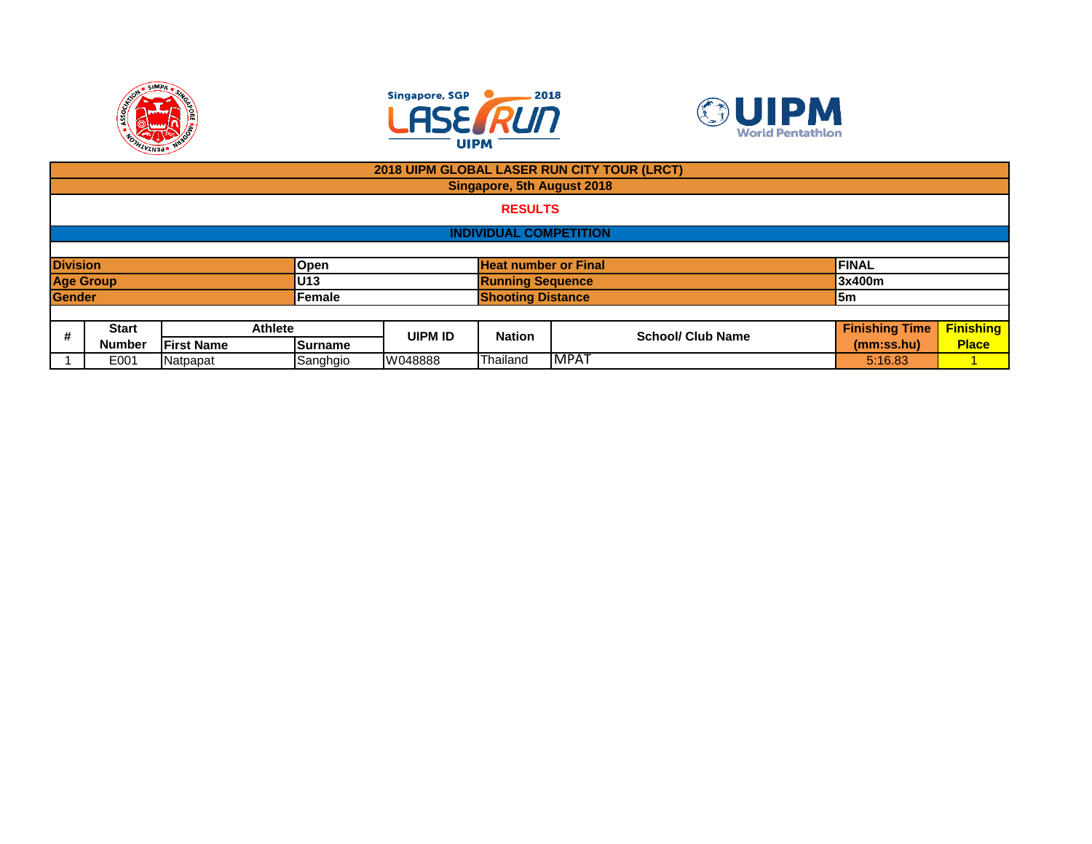





|                 |                               |                   |                 | 2018 UIPM GLOBAL LASER RUN CITY TOUR (LRCT) |                             |             |                          |                       |                  |  |
|-----------------|-------------------------------|-------------------|-----------------|---------------------------------------------|-----------------------------|-------------|--------------------------|-----------------------|------------------|--|
|                 |                               |                   |                 |                                             | Singapore, 5th August 2018  |             |                          |                       |                  |  |
|                 | <b>RESULTS</b>                |                   |                 |                                             |                             |             |                          |                       |                  |  |
|                 | <b>INDIVIDUAL COMPETITION</b> |                   |                 |                                             |                             |             |                          |                       |                  |  |
|                 |                               |                   |                 |                                             |                             |             |                          |                       |                  |  |
| <b>Division</b> |                               |                   | <b>Open</b>     |                                             | <b>Heat number or Final</b> |             |                          | FINAL                 |                  |  |
|                 | <b>Age Group</b>              |                   | U <sub>13</sub> |                                             | <b>Running Sequence</b>     |             | 3x400m                   |                       |                  |  |
| Gender          |                               |                   | Female          |                                             | <b>Shooting Distance</b>    |             |                          | 5m                    |                  |  |
|                 |                               |                   |                 |                                             |                             |             |                          |                       |                  |  |
| #               | <b>Start</b>                  | <b>Athlete</b>    |                 | UIPM ID                                     | <b>Nation</b>               |             | <b>School/ Club Name</b> | <b>Finishing Time</b> | <b>Finishing</b> |  |
|                 | <b>Number</b>                 | <b>First Name</b> | Surname         |                                             |                             |             |                          | (mm:ss.hu)            | <b>Place</b>     |  |
|                 | E001<br>Natpapat              |                   | Sanghgio        | W048888                                     | Thailand                    | <b>MPAT</b> |                          | 5:16.83               |                  |  |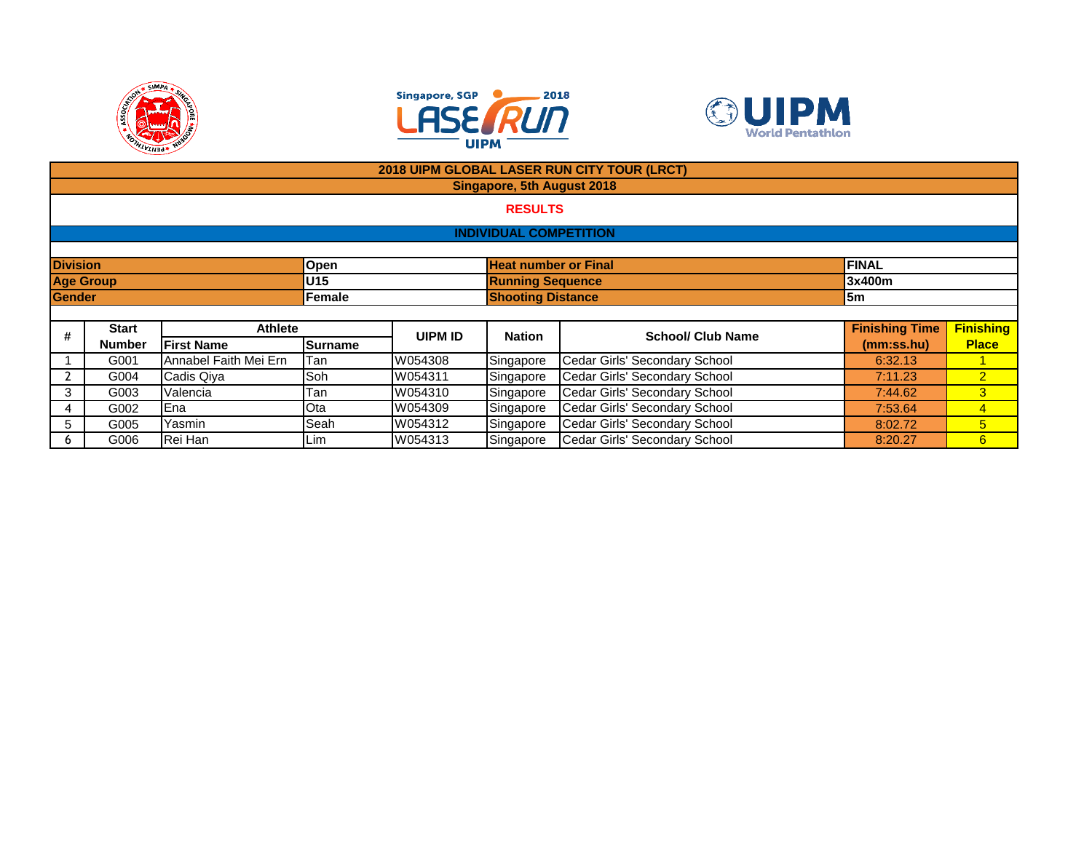





|                                                                        |                               |                       |         |         |                                   | 2018 UIPM GLOBAL LASER RUN CITY TOUR (LRCT) |                       |                  |  |  |  |
|------------------------------------------------------------------------|-------------------------------|-----------------------|---------|---------|-----------------------------------|---------------------------------------------|-----------------------|------------------|--|--|--|
|                                                                        |                               |                       |         |         | <b>Singapore, 5th August 2018</b> |                                             |                       |                  |  |  |  |
|                                                                        |                               |                       |         |         | <b>RESULTS</b>                    |                                             |                       |                  |  |  |  |
|                                                                        |                               |                       |         |         |                                   |                                             |                       |                  |  |  |  |
|                                                                        | <b>INDIVIDUAL COMPETITION</b> |                       |         |         |                                   |                                             |                       |                  |  |  |  |
|                                                                        |                               |                       |         |         |                                   |                                             |                       |                  |  |  |  |
| <b>Division</b><br><b>Heat number or Final</b><br><b>FINAL</b><br>Open |                               |                       |         |         |                                   |                                             |                       |                  |  |  |  |
| <b>Age Group</b><br>U15<br><b>Running Sequence</b>                     |                               |                       |         |         |                                   |                                             |                       |                  |  |  |  |
| <b>Gender</b>                                                          |                               |                       | Female  |         | <b>Shooting Distance</b>          |                                             | 5m                    |                  |  |  |  |
|                                                                        |                               |                       |         |         |                                   |                                             |                       |                  |  |  |  |
| #                                                                      | <b>Start</b>                  | <b>Athlete</b>        |         | UIPM ID | <b>Nation</b>                     | <b>School/ Club Name</b>                    | <b>Finishing Time</b> | <b>Finishing</b> |  |  |  |
|                                                                        | <b>Number</b>                 | <b>First Name</b>     | Surname |         |                                   |                                             | (mm:ss.hu)            | <b>Place</b>     |  |  |  |
|                                                                        | G001                          | Annabel Faith Mei Ern | Tan     | W054308 | Singapore                         | Cedar Girls' Secondary School               | 6:32.13               |                  |  |  |  |
|                                                                        | G004                          | Cadis Qiya            | Soh     | W054311 | Singapore                         | Cedar Girls' Secondary School               | 7:11.23               | $\overline{2}$   |  |  |  |
| 3                                                                      | G003                          | Valencia              | Tan     | W054310 | Singapore                         | Cedar Girls' Secondary School               | 7:44.62               | 3                |  |  |  |
| 4                                                                      | G002                          | Ena                   | Ota     | W054309 | Singapore                         | Cedar Girls' Secondary School               | 7:53.64               | $\overline{4}$   |  |  |  |
| 5                                                                      | G005                          | Yasmin                | Seah    | W054312 | Singapore                         | Cedar Girls' Secondary School               | 8:02.72               | $5\overline{)}$  |  |  |  |
| <sub>0</sub>                                                           | G006                          | Rei Han               | Lim     | W054313 | Singapore                         | Cedar Girls' Secondary School               | 8:20.27               | 6                |  |  |  |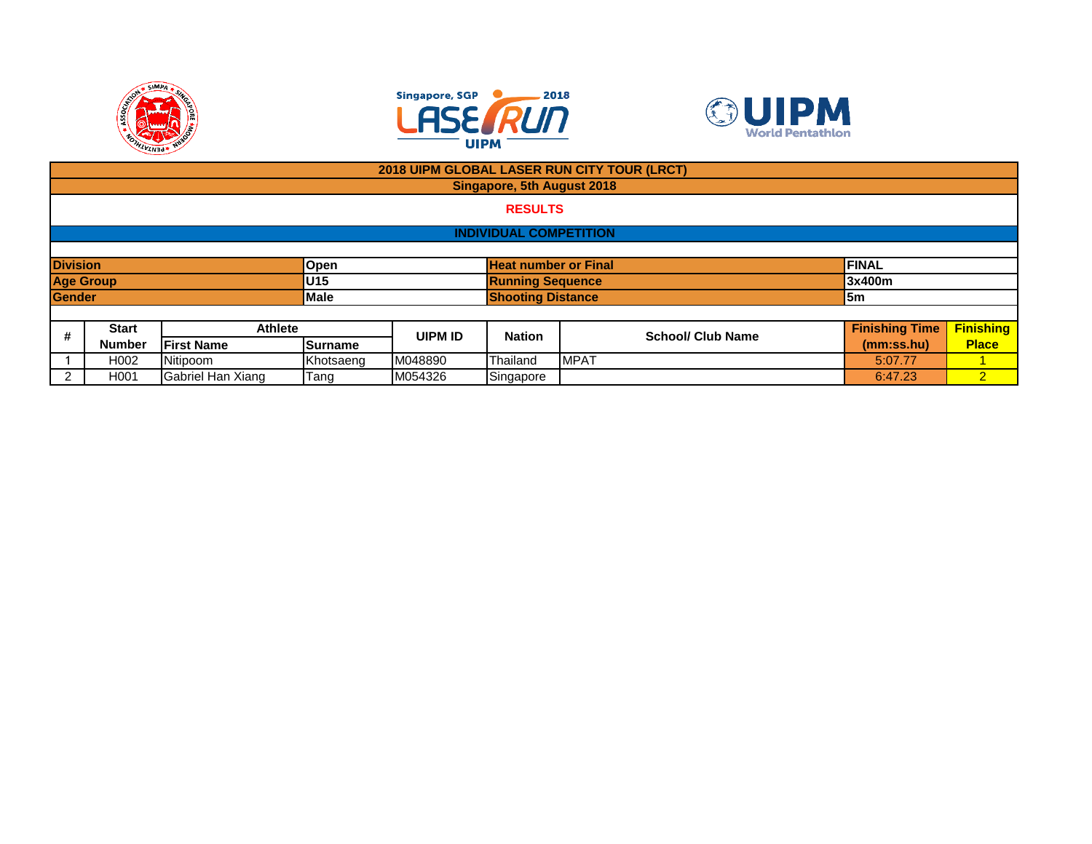





|                                                                                                                             |                                                                        |                    |                |         |                               | 2018 UIPM GLOBAL LASER RUN CITY TOUR (LRCT) |            |                  |  |  |
|-----------------------------------------------------------------------------------------------------------------------------|------------------------------------------------------------------------|--------------------|----------------|---------|-------------------------------|---------------------------------------------|------------|------------------|--|--|
|                                                                                                                             |                                                                        |                    |                |         | Singapore, 5th August 2018    |                                             |            |                  |  |  |
|                                                                                                                             |                                                                        |                    |                |         | <b>RESULTS</b>                |                                             |            |                  |  |  |
|                                                                                                                             |                                                                        |                    |                |         | <b>INDIVIDUAL COMPETITION</b> |                                             |            |                  |  |  |
|                                                                                                                             |                                                                        |                    |                |         |                               |                                             |            |                  |  |  |
|                                                                                                                             | <b>Division</b><br><b>Heat number or Final</b><br><b>FINAL</b><br>Open |                    |                |         |                               |                                             |            |                  |  |  |
|                                                                                                                             | <b>Age Group</b>                                                       |                    | U15            |         | <b>Running Sequence</b>       |                                             | 3x400m     |                  |  |  |
| Gender                                                                                                                      |                                                                        |                    | <b>Male</b>    |         | <b>Shooting Distance</b>      |                                             | l5m        |                  |  |  |
|                                                                                                                             |                                                                        |                    |                |         |                               |                                             |            |                  |  |  |
| <b>Finishing Time</b><br><b>Athlete</b><br><b>Start</b><br>#<br><b>School/ Club Name</b><br><b>UIPM ID</b><br><b>Nation</b> |                                                                        |                    |                |         |                               |                                             |            | <b>Finishing</b> |  |  |
|                                                                                                                             | <b>Number</b>                                                          | <b>IFirst Name</b> | <b>Surname</b> |         |                               |                                             | (mm:ss.hu) | <b>Place</b>     |  |  |
|                                                                                                                             | H <sub>0</sub> 02                                                      | Nitipoom           | Khotsaeng      | M048890 | Thailand                      | <b>MPAT</b>                                 | 5:07.77    |                  |  |  |
| 2                                                                                                                           | H001                                                                   | Gabriel Han Xiang  | Tang           | M054326 | Singapore                     |                                             | 6:47.23    | $\overline{2}$   |  |  |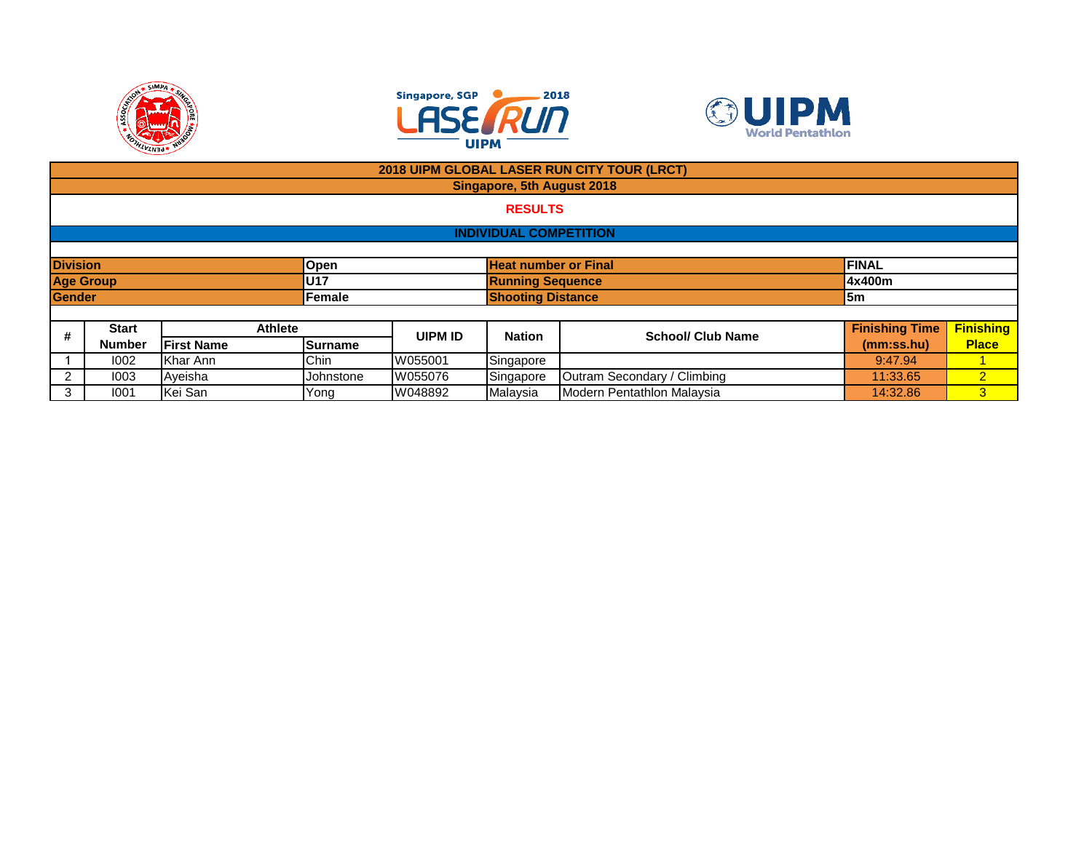





|                  | 2018 UIPM GLOBAL LASER RUN CITY TOUR (LRCT)                                  |                   |                |                |                            |                             |                       |                  |  |  |  |  |
|------------------|------------------------------------------------------------------------------|-------------------|----------------|----------------|----------------------------|-----------------------------|-----------------------|------------------|--|--|--|--|
|                  |                                                                              |                   |                |                | Singapore, 5th August 2018 |                             |                       |                  |  |  |  |  |
|                  | <b>RESULTS</b>                                                               |                   |                |                |                            |                             |                       |                  |  |  |  |  |
|                  | <b>INDIVIDUAL COMPETITION</b>                                                |                   |                |                |                            |                             |                       |                  |  |  |  |  |
|                  |                                                                              |                   |                |                |                            |                             |                       |                  |  |  |  |  |
|                  | <b>Division</b><br><b>Heat number or Final</b><br><b>FINAL</b><br>Open       |                   |                |                |                            |                             |                       |                  |  |  |  |  |
| <b>Age Group</b> |                                                                              |                   | <b>U17</b>     |                | <b>Running Sequence</b>    |                             | 4x400m                |                  |  |  |  |  |
| <b>Gender</b>    |                                                                              |                   | Female         |                | <b>Shooting Distance</b>   |                             | l5m                   |                  |  |  |  |  |
|                  |                                                                              |                   |                |                |                            |                             |                       |                  |  |  |  |  |
| #                | <b>Start</b>                                                                 | <b>Athlete</b>    |                | <b>UIPM ID</b> | <b>Nation</b>              | <b>School/ Club Name</b>    | <b>Finishing Time</b> | <b>Finishing</b> |  |  |  |  |
|                  | <b>Number</b>                                                                | <b>First Name</b> | <b>Surname</b> |                |                            |                             | (mm:ss.hu)            | <b>Place</b>     |  |  |  |  |
|                  | 1002                                                                         | Khar Ann          | Chin           | W055001        | Singapore                  |                             | 9:47.94               |                  |  |  |  |  |
|                  | 1003                                                                         | Ayeisha           | Johnstone      | W055076        | Singapore                  | Outram Secondary / Climbing | 11:33.65              | $\mathcal{P}$    |  |  |  |  |
| 3                | Modern Pentathlon Malaysia<br>Malaysia<br>Kei San<br>W048892<br>1001<br>Yong |                   |                |                |                            |                             | 14:32.86              | 3 <sup>1</sup>   |  |  |  |  |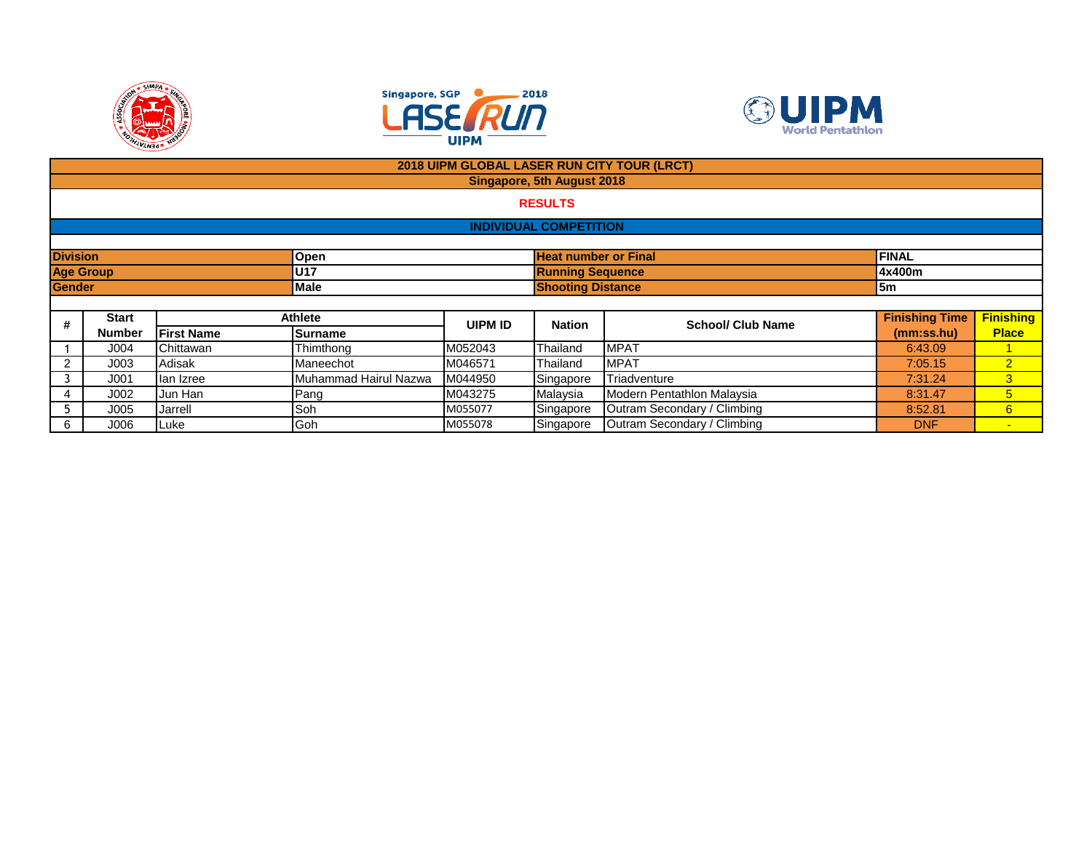





| 2018 UIPM GLOBAL LASER RUN CITY TOUR (LRCT) |                                                        |                   |           |                |                               |                             |                       |                  |  |  |  |  |
|---------------------------------------------|--------------------------------------------------------|-------------------|-----------|----------------|-------------------------------|-----------------------------|-----------------------|------------------|--|--|--|--|
| Singapore, 5th August 2018                  |                                                        |                   |           |                |                               |                             |                       |                  |  |  |  |  |
|                                             | <b>RESULTS</b>                                         |                   |           |                |                               |                             |                       |                  |  |  |  |  |
|                                             |                                                        |                   |           |                | <b>INDIVIDUAL COMPETITION</b> |                             |                       |                  |  |  |  |  |
|                                             |                                                        |                   |           |                |                               |                             |                       |                  |  |  |  |  |
| <b>Division</b>                             |                                                        |                   | Open      |                | <b>Heat number or Final</b>   |                             | <b>FINAL</b>          |                  |  |  |  |  |
| <b>Age Group</b>                            |                                                        |                   | U17       |                | <b>Running Sequence</b>       |                             | 4x400m                |                  |  |  |  |  |
| Gender                                      |                                                        |                   | Male      |                | <b>Shooting Distance</b>      | 5m                          |                       |                  |  |  |  |  |
|                                             |                                                        |                   |           |                |                               |                             |                       |                  |  |  |  |  |
| #                                           | <b>Start</b>                                           |                   | Athlete   | <b>UIPM ID</b> | <b>Nation</b>                 | <b>School/ Club Name</b>    | <b>Finishing Time</b> | <b>Finishing</b> |  |  |  |  |
|                                             | <b>Number</b>                                          | <b>First Name</b> | Surname   |                |                               |                             | (mm:ss.hu)            | <b>Place</b>     |  |  |  |  |
|                                             | J004                                                   | Chittawan         | Thimthong | M052043        | Thailand                      | <b>MPAT</b>                 | 6:43.09               | 1                |  |  |  |  |
| 2                                           | J003                                                   | Adisak            | Maneechot | M046571        | Thailand                      | <b>MPAT</b>                 | 7:05.15               | $\overline{2}$   |  |  |  |  |
|                                             | Muhammad Hairul Nazwa<br>lan Izree<br>J <sub>001</sub> |                   |           | M044950        | Singapore                     | Triadventure                | 7:31.24               | 3                |  |  |  |  |
|                                             | J002                                                   | Jun Han           | Pang      | M043275        | Malaysia                      | Modern Pentathlon Malaysia  | 8:31.47               | $5\overline{)}$  |  |  |  |  |
| 5                                           | J005                                                   | Jarrell           | Soh       | M055077        | Singapore                     | Outram Secondary / Climbing | 8:52.81               | 6                |  |  |  |  |
| 6                                           | 000                                                    | Luke              | Goh       | M055078        | Singapore                     | Outram Secondary / Climbing | <b>DNF</b>            | $\sim$           |  |  |  |  |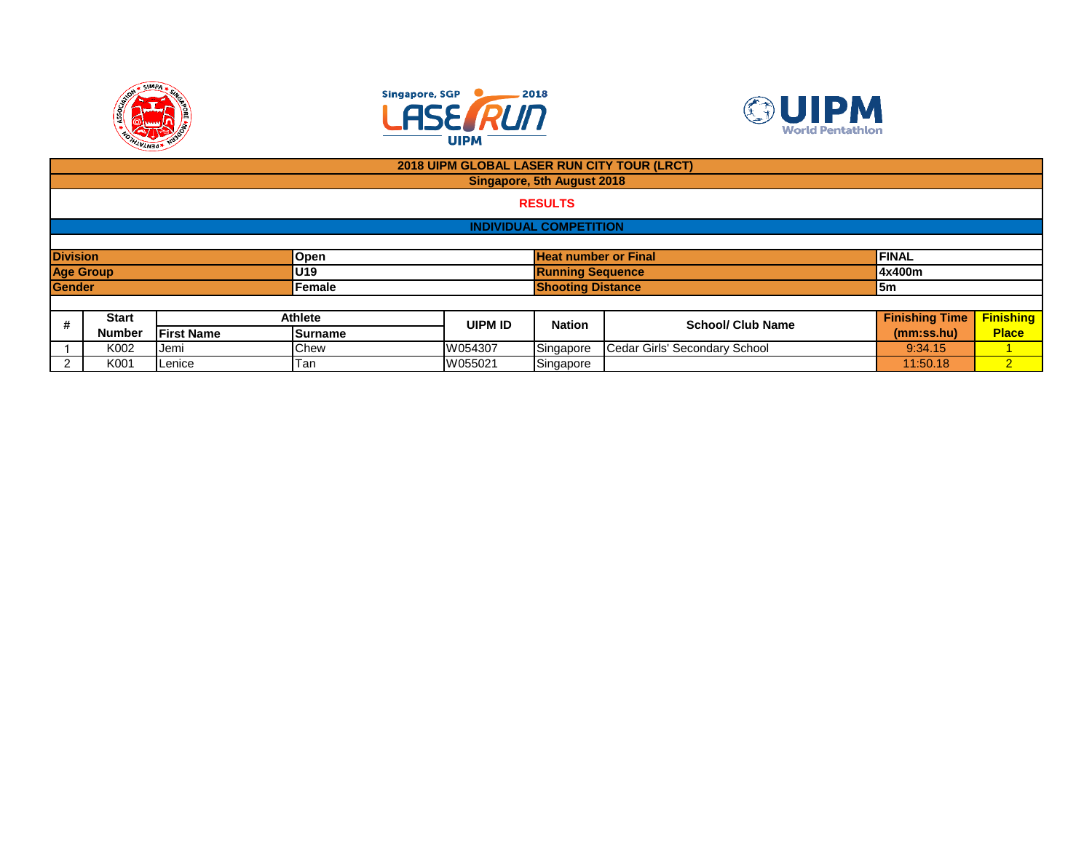





|                                                                        |                  |                   |         | 2018 UIPM GLOBAL LASER RUN CITY TOUR (LRCT) |                          |                               |                       |                  |  |  |  |
|------------------------------------------------------------------------|------------------|-------------------|---------|---------------------------------------------|--------------------------|-------------------------------|-----------------------|------------------|--|--|--|
| Singapore, 5th August 2018                                             |                  |                   |         |                                             |                          |                               |                       |                  |  |  |  |
| <b>RESULTS</b>                                                         |                  |                   |         |                                             |                          |                               |                       |                  |  |  |  |
| <b>INDIVIDUAL COMPETITION</b>                                          |                  |                   |         |                                             |                          |                               |                       |                  |  |  |  |
|                                                                        |                  |                   |         |                                             |                          |                               |                       |                  |  |  |  |
| <b>Division</b><br><b>Heat number or Final</b><br><b>FINAL</b><br>Open |                  |                   |         |                                             |                          |                               |                       |                  |  |  |  |
|                                                                        | <b>Age Group</b> |                   | U19     |                                             | <b>Running Sequence</b>  |                               | 4x400m                |                  |  |  |  |
| <b>Gender</b>                                                          |                  |                   | Female  |                                             | <b>Shooting Distance</b> |                               | 5m                    |                  |  |  |  |
|                                                                        |                  |                   |         |                                             |                          |                               |                       |                  |  |  |  |
| #                                                                      | <b>Start</b>     |                   | Athlete | <b>UIPM ID</b>                              | <b>Nation</b>            | <b>School/ Club Name</b>      | <b>Finishing Time</b> | <b>Finishing</b> |  |  |  |
|                                                                        | <b>Number</b>    | <b>First Name</b> | Surname |                                             |                          |                               | (mm:ss.hu)            | <b>Place</b>     |  |  |  |
|                                                                        | K002             | Jemi              | Chew    | W054307                                     | Singapore                | Cedar Girls' Secondary School | 9:34.15               |                  |  |  |  |
| 2                                                                      | K001             | Lenice            | Tan     | W055021                                     | Singapore                |                               | 11:50.18              | $\overline{2}$   |  |  |  |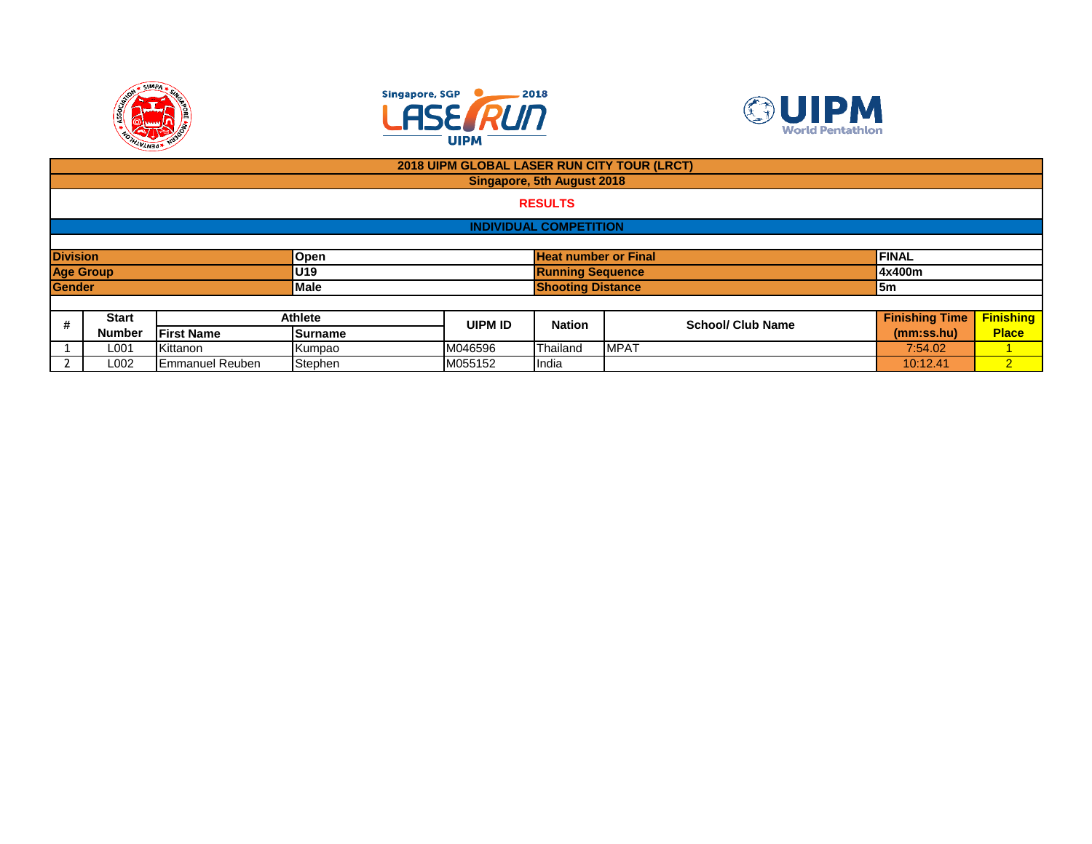





|                |                         |                        |                | 2018 UIPM GLOBAL LASER RUN CITY TOUR (LRCT) |                               |                             |                          |                       |                  |  |
|----------------|-------------------------|------------------------|----------------|---------------------------------------------|-------------------------------|-----------------------------|--------------------------|-----------------------|------------------|--|
|                |                         |                        |                |                                             | Singapore, 5th August 2018    |                             |                          |                       |                  |  |
| <b>RESULTS</b> |                         |                        |                |                                             |                               |                             |                          |                       |                  |  |
|                |                         |                        |                |                                             | <b>INDIVIDUAL COMPETITION</b> |                             |                          |                       |                  |  |
|                |                         |                        |                |                                             |                               |                             |                          |                       |                  |  |
|                | <b>Division</b><br>Open |                        |                |                                             |                               | <b>Heat number or Final</b> |                          |                       |                  |  |
|                | <b>Age Group</b>        |                        | <b>U</b> 19    |                                             | <b>Running Sequence</b>       |                             |                          | 4x400m                |                  |  |
| <b>Gender</b>  |                         |                        | Male           |                                             | <b>Shooting Distance</b>      |                             |                          | $\mathsf{I5m}$        |                  |  |
|                |                         |                        |                |                                             |                               |                             |                          |                       |                  |  |
| #              | <b>Start</b>            |                        | <b>Athlete</b> | <b>UIPM ID</b>                              | <b>Nation</b>                 |                             | <b>School/ Club Name</b> | <b>Finishing Time</b> | <b>Finishing</b> |  |
|                | <b>Number</b>           | <b>First Name</b>      | Surname        |                                             |                               |                             |                          | (mm:ss.hu)            | <b>Place</b>     |  |
|                | L001                    | Kittanon               | Kumpao         | M046596                                     | Thailand                      | <b>MPAT</b>                 |                          | 7:54.02               |                  |  |
|                | L002                    | <b>Emmanuel Reuben</b> | Stephen        | M055152                                     | India                         |                             |                          | 10:12.41              | $\overline{2}$   |  |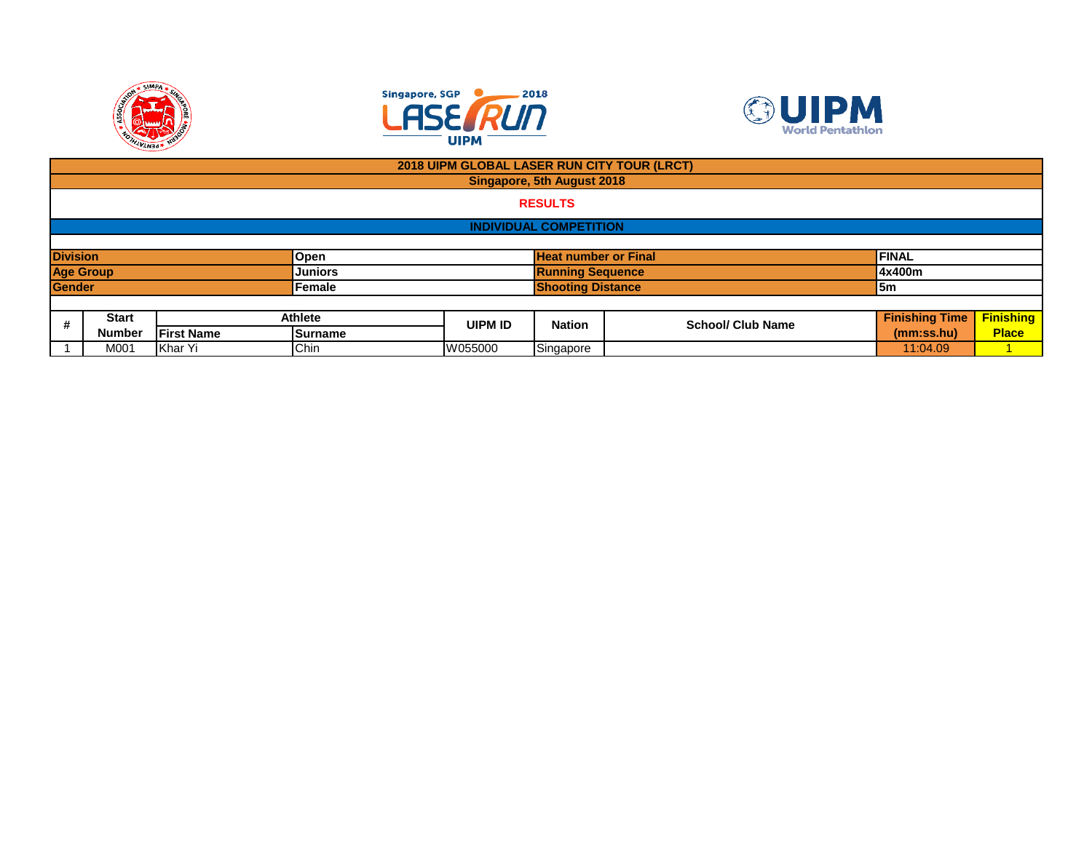





|                  | 2018 UIPM GLOBAL LASER RUN CITY TOUR (LRCT) |                    |                |                |                             |                          |                       |                  |  |  |
|------------------|---------------------------------------------|--------------------|----------------|----------------|-----------------------------|--------------------------|-----------------------|------------------|--|--|
|                  | <b>Singapore, 5th August 2018</b>           |                    |                |                |                             |                          |                       |                  |  |  |
|                  | <b>RESULTS</b>                              |                    |                |                |                             |                          |                       |                  |  |  |
|                  | <b>INDIVIDUAL COMPETITION</b>               |                    |                |                |                             |                          |                       |                  |  |  |
|                  |                                             |                    |                |                |                             |                          |                       |                  |  |  |
| <b>Division</b>  |                                             |                    | Open           |                | <b>Heat number or Final</b> |                          | <b>FINAL</b>          |                  |  |  |
| <b>Age Group</b> |                                             |                    | <b>Juniors</b> |                | <b>Running Sequence</b>     |                          | 4x400m                |                  |  |  |
| <b>Gender</b>    |                                             |                    | Female         |                | <b>Shooting Distance</b>    |                          | 5m                    |                  |  |  |
|                  |                                             |                    |                |                |                             |                          |                       |                  |  |  |
| #                | <b>Start</b><br><b>Athlete</b>              |                    |                | <b>UIPM ID</b> | <b>Nation</b>               | <b>School/ Club Name</b> | <b>Finishing Time</b> | <b>Finishing</b> |  |  |
|                  | <b>Number</b>                               | <b>IFirst Name</b> | Surname        |                |                             |                          | (mm:ss.hu)            | <b>Place</b>     |  |  |
|                  | Chin<br>Khar Yi<br>M001                     |                    |                | W055000        | Singapore                   |                          | 11:04.09              |                  |  |  |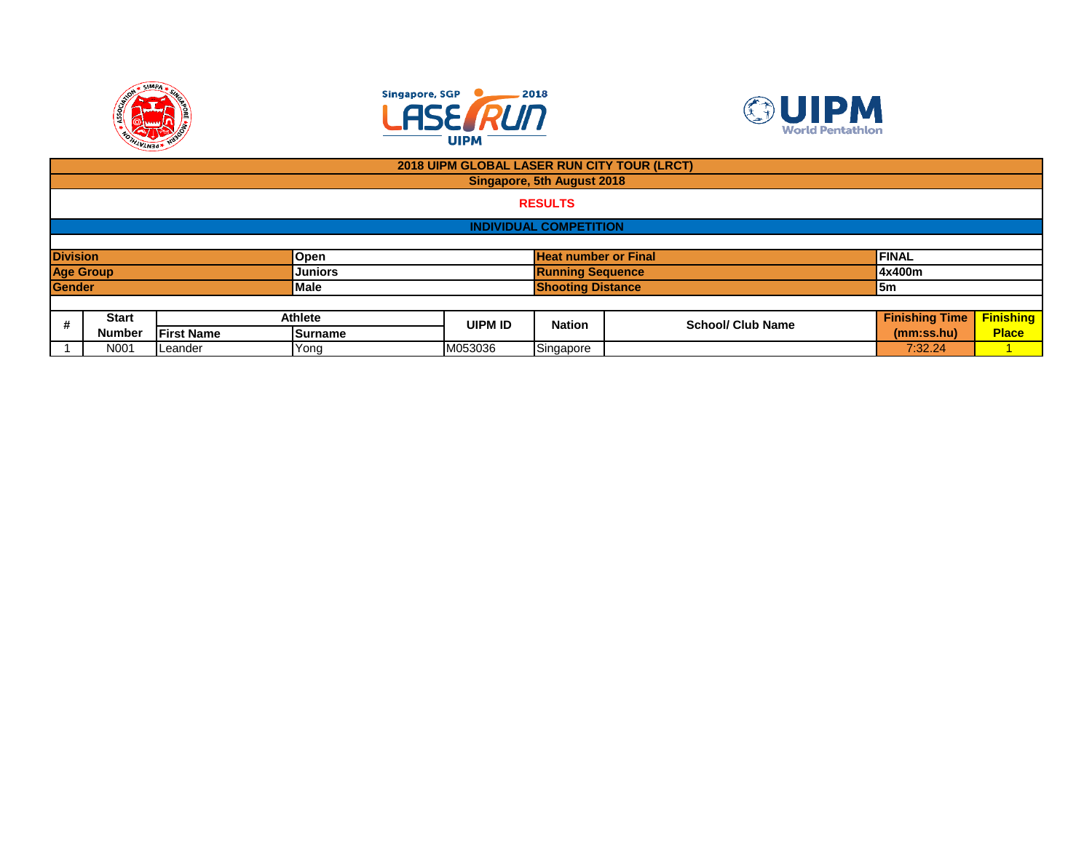





|                  | 2018 UIPM GLOBAL LASER RUN CITY TOUR (LRCT) |                   |                |                             |                         |                          |                       |                  |  |
|------------------|---------------------------------------------|-------------------|----------------|-----------------------------|-------------------------|--------------------------|-----------------------|------------------|--|
|                  | Singapore, 5th August 2018                  |                   |                |                             |                         |                          |                       |                  |  |
|                  | <b>RESULTS</b>                              |                   |                |                             |                         |                          |                       |                  |  |
|                  | <b>INDIVIDUAL COMPETITION</b>               |                   |                |                             |                         |                          |                       |                  |  |
|                  |                                             |                   |                |                             |                         |                          |                       |                  |  |
| <b>Division</b>  |                                             |                   | Open           | <b>Heat number or Final</b> |                         |                          | <b>FINAL</b>          |                  |  |
| <b>Age Group</b> |                                             |                   | <b>Juniors</b> |                             | <b>Running Sequence</b> |                          | 4x400m                |                  |  |
| <b>Gender</b>    |                                             |                   | <b>IMale</b>   | <b>Shooting Distance</b>    |                         |                          | 5m                    |                  |  |
|                  |                                             |                   |                |                             |                         |                          |                       |                  |  |
| #                | <b>Start</b>                                |                   | Athlete        | <b>UIPM ID</b>              | <b>Nation</b>           | <b>School/ Club Name</b> | <b>Finishing Time</b> | <b>Finishing</b> |  |
|                  | <b>Number</b>                               | <b>First Name</b> | Surname        |                             |                         |                          | (mm:ss.hu)            | <b>Place</b>     |  |
|                  | N001                                        | Leander           | Yong           | M053036                     | Singapore               |                          | 7:32.24               |                  |  |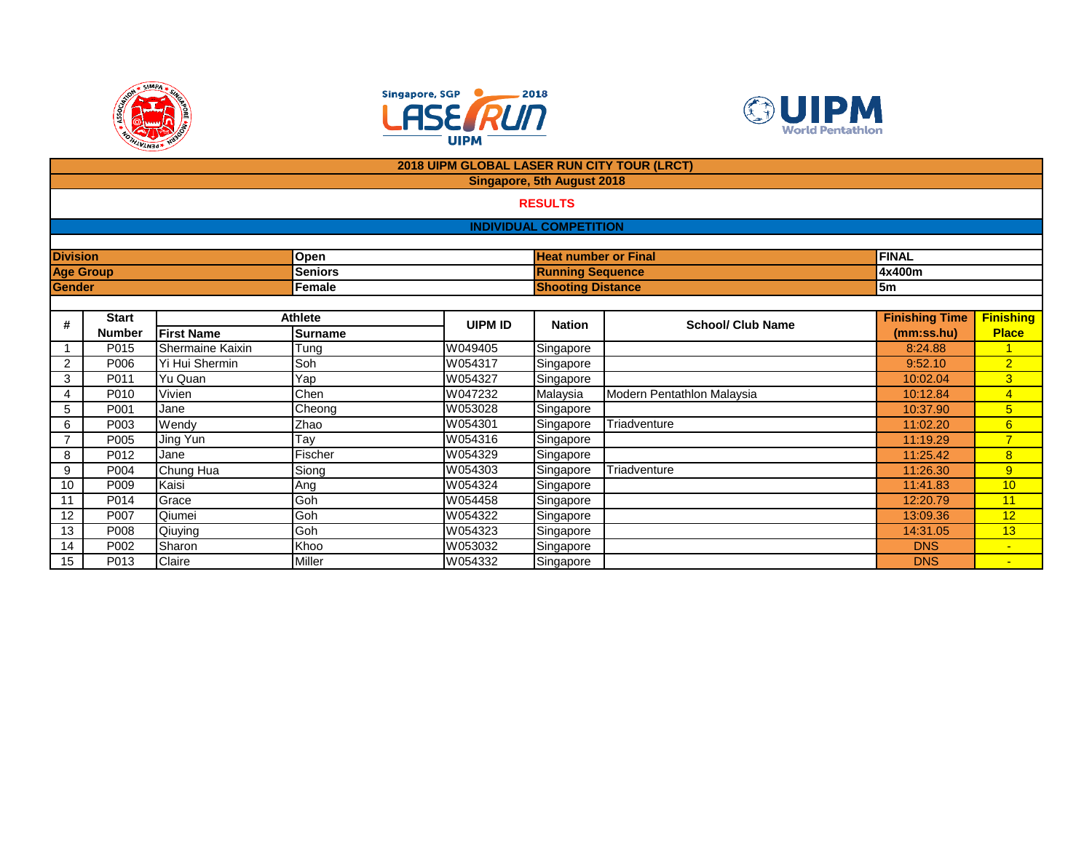





|                 |                  |                   |                | 2018 UIPM GLOBAL LASER RUN CITY TOUR (LRCT) |                                   |                            |                       |                  |  |  |  |
|-----------------|------------------|-------------------|----------------|---------------------------------------------|-----------------------------------|----------------------------|-----------------------|------------------|--|--|--|
|                 |                  |                   |                |                                             | <b>Singapore, 5th August 2018</b> |                            |                       |                  |  |  |  |
|                 | <b>RESULTS</b>   |                   |                |                                             |                                   |                            |                       |                  |  |  |  |
|                 |                  |                   |                |                                             | <b>INDIVIDUAL COMPETITION</b>     |                            |                       |                  |  |  |  |
|                 |                  |                   |                |                                             |                                   |                            |                       |                  |  |  |  |
| <b>Division</b> |                  |                   | Open           |                                             | <b>Heat number or Final</b>       |                            | <b>FINAL</b>          |                  |  |  |  |
|                 | <b>Age Group</b> |                   | <b>Seniors</b> |                                             | <b>Running Sequence</b>           |                            | 4x400m                |                  |  |  |  |
| Gender          |                  |                   | Female         |                                             | <b>Shooting Distance</b>          |                            | 5m                    |                  |  |  |  |
|                 |                  |                   |                |                                             |                                   |                            |                       |                  |  |  |  |
| #               | <b>Start</b>     |                   | <b>Athlete</b> | <b>UIPM ID</b>                              | <b>Nation</b>                     | <b>School/ Club Name</b>   | <b>Finishing Time</b> | <b>Finishing</b> |  |  |  |
|                 | <b>Number</b>    | <b>First Name</b> | <b>Surname</b> |                                             |                                   |                            | (mm:ss.hu)            | <b>Place</b>     |  |  |  |
|                 | P015             | Shermaine Kaixin  | Tung           | W049405                                     | Singapore                         |                            | 8:24.88               | $\overline{1}$   |  |  |  |
| $\overline{2}$  | P006             | Yi Hui Shermin    | Soh            | W054317                                     | Singapore                         |                            | 9:52.10               | $\overline{2}$   |  |  |  |
| 3               | P011             | Yu Quan           | Yap            | W054327                                     | Singapore                         |                            | 10:02.04              | 3                |  |  |  |
| 4               | P010             | Vivien            | Chen           | W047232                                     | Malaysia                          | Modern Pentathlon Malaysia | 10:12.84              | 4                |  |  |  |
| 5               | P001             | Jane              | Cheong         | W053028                                     | Singapore                         |                            | 10:37.90              | $5\overline{)}$  |  |  |  |
| 6               | P003             | Wendy             | Zhao           | W054301                                     | Singapore                         | Triadventure               | 11:02.20              | $6\overline{6}$  |  |  |  |
| 7               | P005             | Jing Yun          | Tay            | W054316                                     | Singapore                         |                            | 11:19.29              | $\overline{7}$   |  |  |  |
| 8               | P012             | Jane              | Fischer        | W054329                                     | Singapore                         |                            | 11:25.42              | 8                |  |  |  |
| 9               | P004             | Chung Hua         | Siong          | W054303                                     | Singapore                         | Triadventure               | 11:26.30              | 9                |  |  |  |
| 10              | P009             | Kaisi             | Ang            | W054324                                     | Singapore                         |                            | 11:41.83              | 10               |  |  |  |
| 11              | P014             | Grace             | Goh            | W054458                                     | Singapore                         |                            | 12:20.79              | 11               |  |  |  |
| 12              | P007             | Qiumei            | Goh            | W054322                                     | Singapore                         |                            | 13:09.36              | 12               |  |  |  |
| 13              | P008             | Qiuying           | Goh            | W054323                                     | Singapore                         |                            | 14:31.05              | 13               |  |  |  |
| 14              | P002             | Sharon            | Khoo           | W053032                                     | Singapore                         |                            | <b>DNS</b>            | $\blacksquare$   |  |  |  |
| 15              | P013             | Claire            | Miller         | W054332                                     | Singapore                         |                            | <b>DNS</b>            |                  |  |  |  |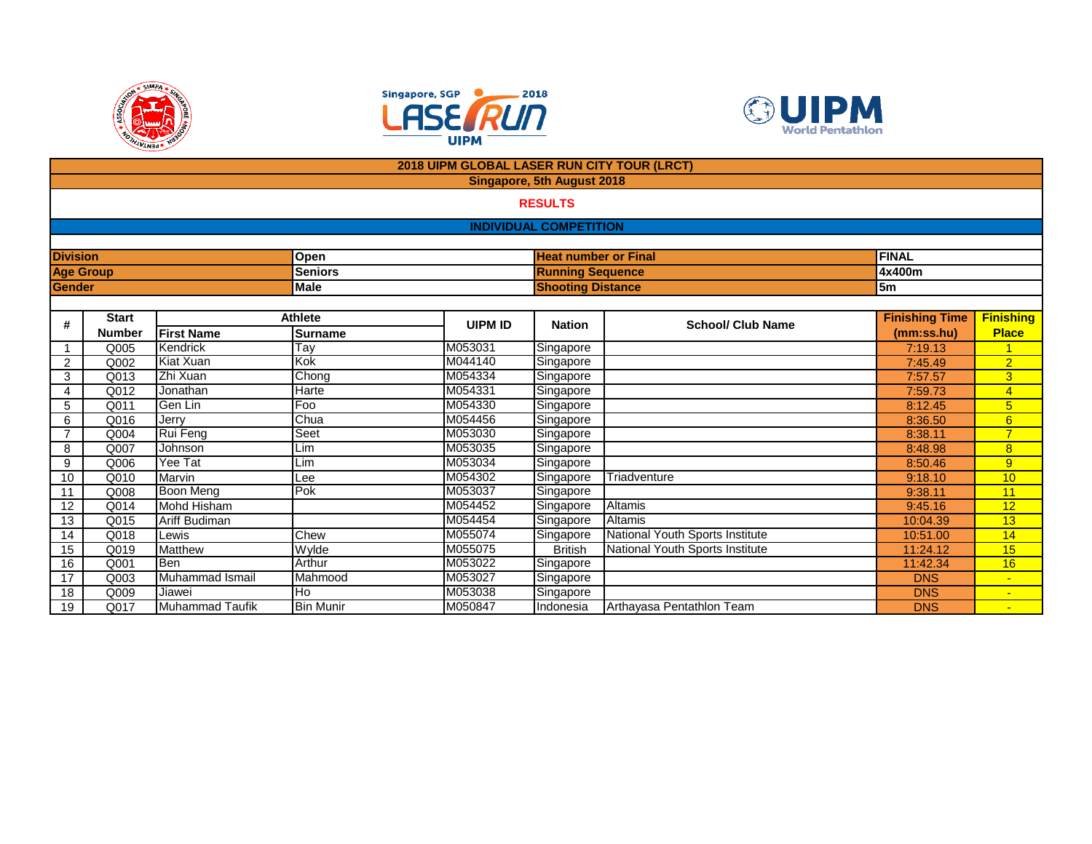





|                 |                  |                              |                  | <b>2018 UIPM GLOBAL LASER RUN CITY TOUR (LRCT)</b> |                               |                                 |                        |                                  |
|-----------------|------------------|------------------------------|------------------|----------------------------------------------------|-------------------------------|---------------------------------|------------------------|----------------------------------|
|                 |                  |                              |                  |                                                    | Singapore, 5th August 2018    |                                 |                        |                                  |
|                 |                  |                              |                  |                                                    | <b>RESULTS</b>                |                                 |                        |                                  |
|                 |                  |                              |                  |                                                    | <b>INDIVIDUAL COMPETITION</b> |                                 |                        |                                  |
|                 |                  |                              |                  |                                                    |                               |                                 |                        |                                  |
| <b>Division</b> |                  |                              | Open             |                                                    | <b>Heat number or Final</b>   |                                 | <b>FINAL</b>           |                                  |
|                 | <b>Age Group</b> |                              | <b>Seniors</b>   |                                                    | <b>Running Sequence</b>       |                                 | 4x400m                 |                                  |
| Gender          |                  |                              | <b>Male</b>      |                                                    | <b>Shooting Distance</b>      |                                 | 5 <sub>m</sub>         |                                  |
|                 |                  |                              |                  |                                                    |                               |                                 |                        |                                  |
| #               | <b>Start</b>     |                              | <b>Athlete</b>   | <b>UIPM ID</b>                                     | <b>Nation</b>                 | <b>School/ Club Name</b>        | <b>Finishing Time</b>  | <b>Finishing</b>                 |
|                 | <b>Number</b>    | <b>First Name</b>            | <b>Surname</b>   |                                                    |                               |                                 | (mm:ss.hu)             | <b>Place</b>                     |
|                 | Q005             | Kendrick                     | Tay              | M053031                                            | Singapore                     |                                 | 7:19.13                |                                  |
| 2               | Q002             | Kiat Xuan                    | Kok              | M044140                                            | Singapore                     |                                 | 7:45.49                | $\overline{2}$                   |
| 3               | Q013             | Zhi Xuan                     | Chong            | M054334                                            | Singapore                     |                                 | 7:57.57                | $\overline{3}$                   |
| 4               | Q012             | Jonathan                     | <b>Harte</b>     | M054331                                            | Singapore                     |                                 | 7:59.73                | $\overline{4}$                   |
| 5               | Q011             | Gen Lin                      | Foo              | M054330                                            | Singapore                     |                                 | 8:12.45                | $5\overline{)}$                  |
| 6               | Q016             | Jerry                        | Chua             | M054456                                            | Singapore                     |                                 | 8:36.50                | 6                                |
| $\overline{7}$  | Q004             | Rui Feng                     | Seet             | M053030                                            | Singapore                     |                                 | 8:38.11                | $\overline{7}$                   |
| 8               | Q007             | Johnson                      | Lim              | M053035                                            | Singapore                     |                                 | 8:48.98                | 8                                |
| 9               | Q006             | Yee Tat                      | Lim              | M053034                                            | Singapore                     |                                 | 8:50.46                | 9                                |
| 10              | Q010             | Marvin                       | Lee              | M054302                                            | Singapore                     | Triadventure                    | 9:18.10                | 10                               |
| 11              | Q008             | <b>Boon Mena</b>             | Pok              | M053037                                            | Singapore                     |                                 | 9:38.11                | 11                               |
| 12              | Q014             | <b>Mohd Hisham</b>           |                  | M054452                                            | Singapore                     | <b>Altamis</b>                  | 9:45.16                | 12                               |
| 13              | Q015             | <b>Ariff Budiman</b>         |                  | M054454                                            | Singapore                     | Altamis                         | 10:04.39               | 13                               |
| 14              | Q018             | Lewis                        | Chew             | M055074                                            | Singapore                     | National Youth Sports Institute | 10:51.00               | 14                               |
| 15              | Q019             | <b>Matthew</b><br><b>Ben</b> | Wylde<br>Arthur  | M055075<br>M053022                                 | <b>British</b>                | National Youth Sports Institute | 11:24.12               | 15                               |
| 16              | Q001<br>Q003     | Muhammad Ismail              | Mahmood          | M053027                                            | Singapore                     |                                 | 11:42.34<br><b>DNS</b> | 16                               |
| 17<br>18        | Q009             | Jiawei                       | Ho               | M053038                                            | Singapore                     |                                 | <b>DNS</b>             | $\blacksquare$<br>$\blacksquare$ |
| 19              | Q017             | <b>Muhammad Taufik</b>       | <b>Bin Munir</b> | M050847                                            | Singapore<br>Indonesia        | Arthayasa Pentathlon Team       | <b>DNS</b>             |                                  |
|                 |                  |                              |                  |                                                    |                               |                                 |                        |                                  |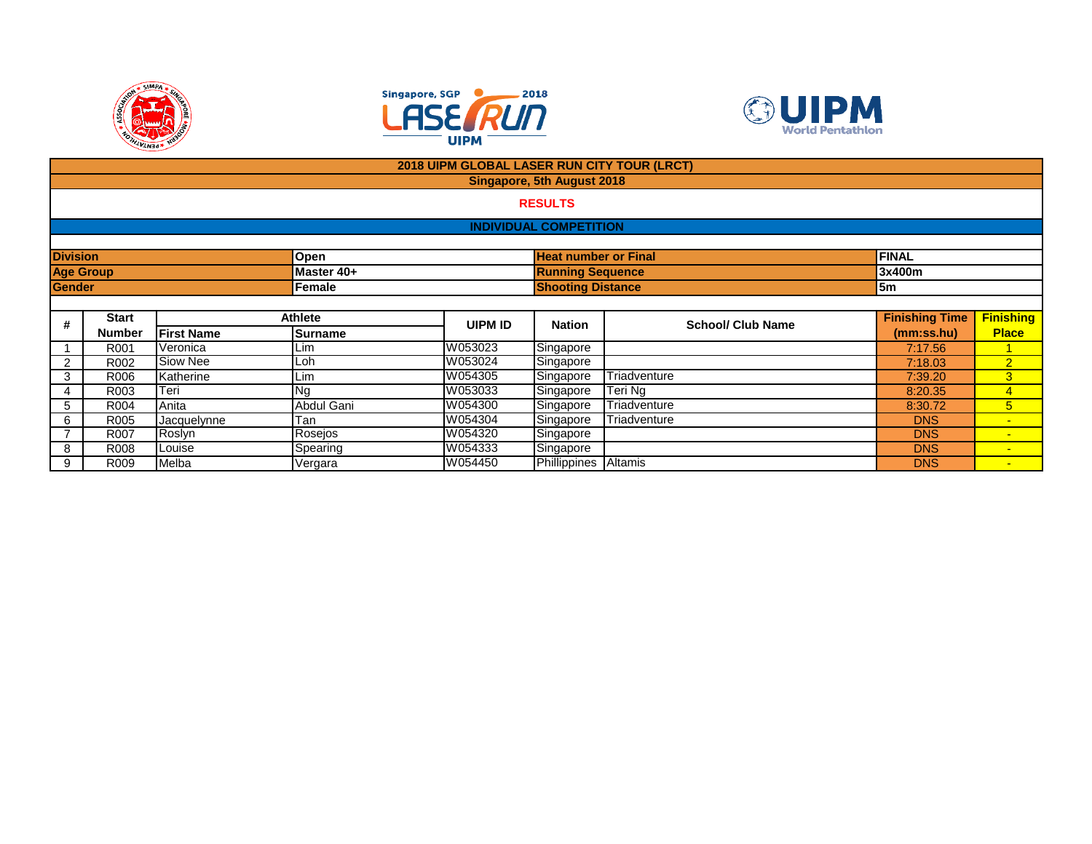





|                  |                            |                   |                | 2018 UIPM GLOBAL LASER RUN CITY TOUR (LRCT) |                               |                          |                       |                  |  |  |  |
|------------------|----------------------------|-------------------|----------------|---------------------------------------------|-------------------------------|--------------------------|-----------------------|------------------|--|--|--|
|                  | Singapore, 5th August 2018 |                   |                |                                             |                               |                          |                       |                  |  |  |  |
|                  | <b>RESULTS</b>             |                   |                |                                             |                               |                          |                       |                  |  |  |  |
|                  |                            |                   |                |                                             |                               |                          |                       |                  |  |  |  |
|                  |                            |                   |                |                                             | <b>INDIVIDUAL COMPETITION</b> |                          |                       |                  |  |  |  |
|                  |                            |                   |                |                                             |                               |                          |                       |                  |  |  |  |
| <b>Division</b>  |                            |                   | <b>Open</b>    |                                             | <b>Heat number or Final</b>   |                          | <b>FINAL</b>          |                  |  |  |  |
| <b>Age Group</b> |                            |                   | Master 40+     |                                             | <b>Running Sequence</b>       |                          | 3x400m                |                  |  |  |  |
| Gender           |                            |                   | Female         |                                             |                               | <b>Shooting Distance</b> | <b>5m</b>             |                  |  |  |  |
|                  |                            |                   |                |                                             |                               |                          |                       |                  |  |  |  |
| #                | <b>Start</b>               |                   | <b>Athlete</b> | UIPM ID                                     | <b>Nation</b>                 | <b>School/ Club Name</b> | <b>Finishing Time</b> | <b>Finishing</b> |  |  |  |
|                  | <b>Number</b>              | <b>First Name</b> | <b>Surname</b> |                                             |                               |                          | (mm:ss.hu)            | <b>Place</b>     |  |  |  |
|                  | R001                       | Veronica          | Lim            | W053023                                     | Singapore                     |                          | 7:17.56               |                  |  |  |  |
| $\overline{2}$   | R002                       | Siow Nee          | Loh            | W053024                                     | Singapore                     |                          | 7:18.03               | $\overline{2}$   |  |  |  |
| 3                | R006                       | Katherine         | Lim            | W054305                                     | Singapore                     | Triadventure             | 7:39.20               | 3                |  |  |  |
| 4                | R003                       | Teri              | Νg             | W053033                                     | Singapore                     | Teri Ng                  | 8:20.35               | $\overline{4}$   |  |  |  |
| 5                | R004                       | Anita             | Abdul Gani     | W054300                                     | Singapore                     | Triadventure             | 8:30.72               | 5                |  |  |  |
| 6                | R005                       | Jacquelynne       | Tan            | W054304                                     | Singapore                     | Triadventure             | <b>DNS</b>            | $\sim$           |  |  |  |
|                  | R007                       | Roslyn            | Rosejos        | W054320                                     | Singapore                     |                          | <b>DNS</b>            | $\sim$           |  |  |  |
| 8                | R008                       | Louise            | Spearing       | W054333                                     | Singapore                     |                          | <b>DNS</b>            | $\blacksquare$   |  |  |  |
| 9                | R009                       | Melba             | Vergara        | W054450                                     | Phillippines Altamis          |                          | <b>DNS</b>            | $\sim$           |  |  |  |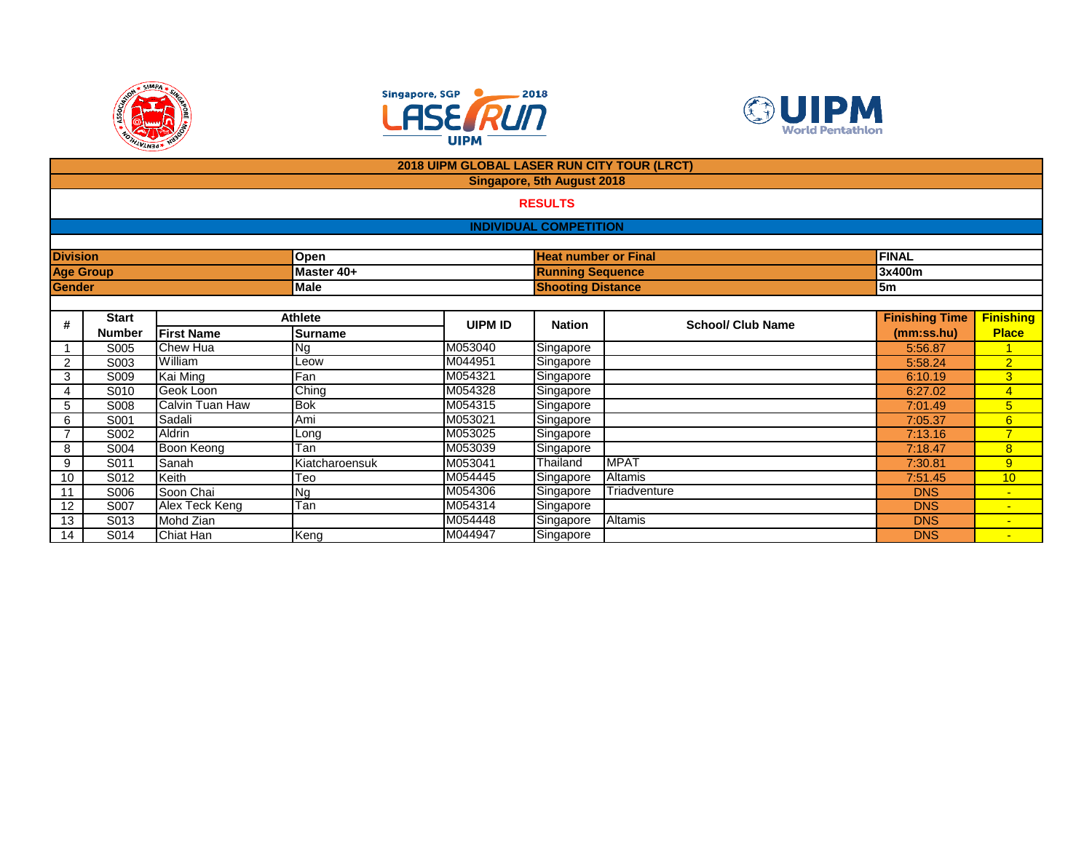





|                 |                  |                    |                | 2018 UIPM GLOBAL LASER RUN CITY TOUR (LRCT) |                                   |                          |                       |                  |
|-----------------|------------------|--------------------|----------------|---------------------------------------------|-----------------------------------|--------------------------|-----------------------|------------------|
|                 |                  |                    |                |                                             | <b>Singapore, 5th August 2018</b> |                          |                       |                  |
|                 |                  |                    |                |                                             | <b>RESULTS</b>                    |                          |                       |                  |
|                 |                  |                    |                |                                             | <b>INDIVIDUAL COMPETITION</b>     |                          |                       |                  |
|                 |                  |                    |                |                                             |                                   |                          |                       |                  |
| <b>Division</b> |                  |                    | Open           |                                             | <b>Heat number or Final</b>       |                          | <b>FINAL</b>          |                  |
|                 | <b>Age Group</b> |                    | Master 40+     |                                             | <b>Running Sequence</b>           |                          | 3x400m                |                  |
| Gender          |                  |                    | Male           |                                             | <b>Shooting Distance</b>          |                          | 5m                    |                  |
|                 |                  |                    |                |                                             |                                   |                          |                       |                  |
| #               | <b>Start</b>     |                    | <b>Athlete</b> | <b>UIPM ID</b>                              | <b>Nation</b>                     | <b>School/ Club Name</b> | <b>Finishing Time</b> | <b>Finishing</b> |
|                 | <b>Number</b>    | <b>IFirst Name</b> | <b>Surname</b> |                                             |                                   |                          | (mm:ss.hu)            | <b>Place</b>     |
|                 | S005             | Chew Hua           | <b>Ng</b>      | M053040                                     | Singapore                         |                          | 5:56.87               | $\overline{1}$   |
| $\overline{2}$  | S003             | William            | Leow           | M044951                                     | Singapore                         |                          | 5:58.24               | $\overline{2}$   |
| 3               | S009             | Kai Ming           | Fan            | M054321                                     | Singapore                         |                          | 6:10.19               | 3                |
| 4               | S010             | Geok Loon          | Ching          | M054328                                     | Singapore                         |                          | 6:27.02               | $\overline{4}$   |
| 5               | S008             | Calvin Tuan Haw    | <b>Bok</b>     | M054315                                     | Singapore                         |                          | 7:01.49               | $5\overline{)}$  |
| 6               | S001             | Sadali             | Ami            | M053021                                     | Singapore                         |                          | 7:05.37               | 6                |
|                 | S002             | <b>Aldrin</b>      | Long           | M053025                                     | Singapore                         |                          | 7:13.16               |                  |
| 8               | S004             | Boon Keong         | Tan            | M053039                                     | Singapore                         |                          | 7:18.47               | 8                |
| 9               | S011             | Sanah              | Kiatcharoensuk | M053041                                     | Thailand                          | <b>MPAT</b>              | 7:30.81               | 9                |
| 10              | S012             | Keith              | Teo            | M054445                                     | Singapore                         | Altamis                  | 7:51.45               | 10 <sup>°</sup>  |
| 11              | S006             | Soon Chai          | <b>Ng</b>      | M054306                                     | Singapore                         | Triadventure             | <b>DNS</b>            | $\sim$           |
| 12              | S007             | Alex Teck Keng     | Tan            | M054314                                     | Singapore                         |                          | <b>DNS</b>            |                  |
| 13              | S013             | Mohd Zian          |                | M054448                                     | Singapore                         | Altamis                  | <b>DNS</b>            | $\blacksquare$   |
| 14              | S014             | Chiat Han          | Keng           | M044947                                     | Singapore                         |                          | <b>DNS</b>            | $\blacksquare$   |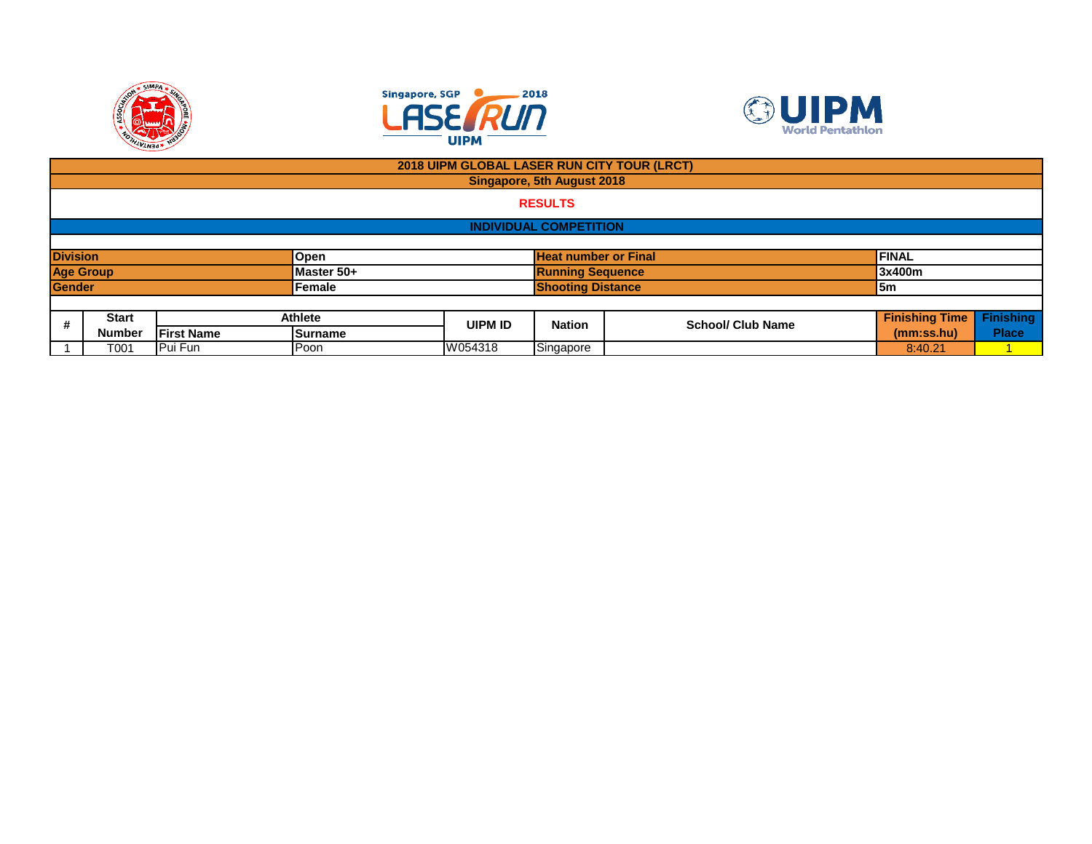





|                 | 2018 UIPM GLOBAL LASER RUN CITY TOUR (LRCT) |                   |            |         |                               |                          |                       |                  |  |  |
|-----------------|---------------------------------------------|-------------------|------------|---------|-------------------------------|--------------------------|-----------------------|------------------|--|--|
|                 | Singapore, 5th August 2018                  |                   |            |         |                               |                          |                       |                  |  |  |
|                 | <b>RESULTS</b>                              |                   |            |         |                               |                          |                       |                  |  |  |
|                 |                                             |                   |            |         | <b>INDIVIDUAL COMPETITION</b> |                          |                       |                  |  |  |
|                 |                                             |                   |            |         |                               |                          |                       |                  |  |  |
| <b>Division</b> |                                             |                   | Open       |         | <b>Heat number or Final</b>   |                          | <b>FINAL</b>          |                  |  |  |
|                 | <b>Age Group</b>                            |                   | Master 50+ |         | <b>Running Sequence</b>       |                          | 3x400m                |                  |  |  |
| <b>Gender</b>   |                                             |                   | Female     |         | <b>Shooting Distance</b>      |                          | l5m                   |                  |  |  |
|                 |                                             |                   |            |         |                               |                          |                       |                  |  |  |
| #               | <b>Start</b>                                |                   | Athlete    | UIPM ID | <b>Nation</b>                 | <b>School/ Club Name</b> | <b>Finishing Time</b> | <b>Finishing</b> |  |  |
|                 | <b>Number</b>                               | <b>First Name</b> | Surname    |         |                               |                          | (mm:ss.hu)            | <b>Place</b>     |  |  |
|                 | T001                                        | Pui Fun           | Poon       | W054318 | Singapore                     |                          | 8:40.21               |                  |  |  |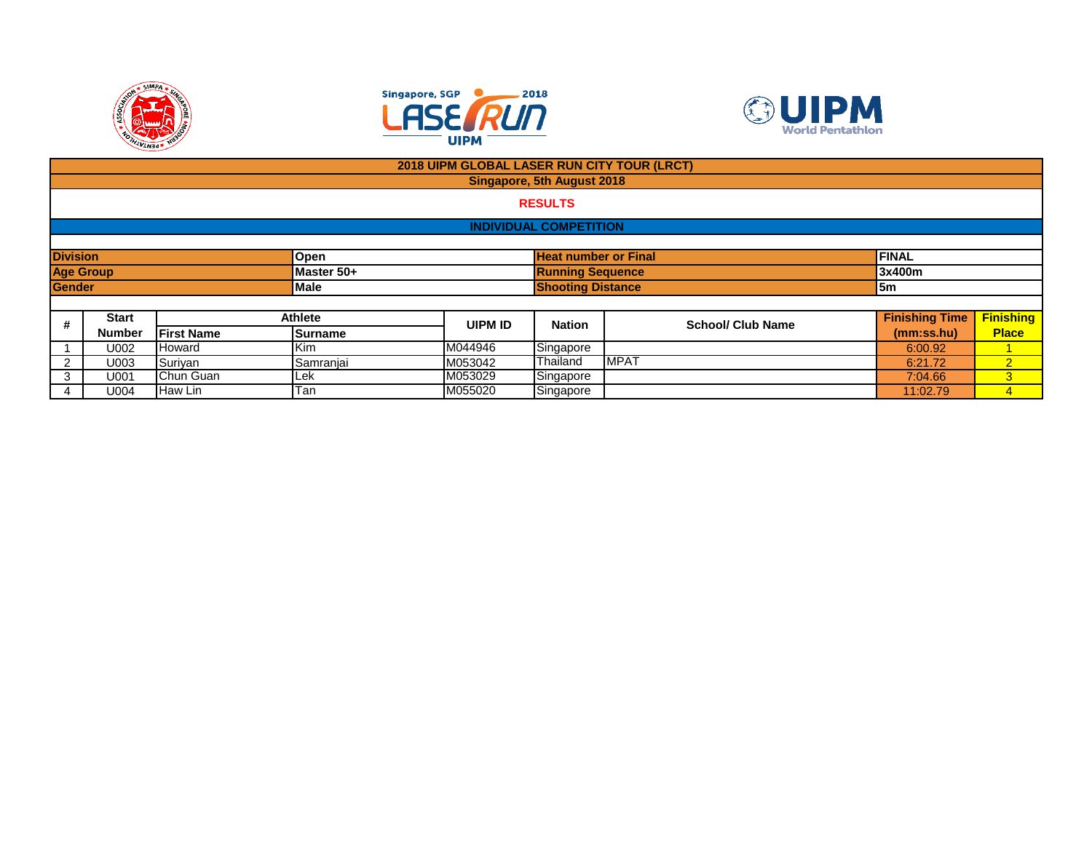





|                  |               |                   |                         | 2018 UIPM GLOBAL LASER RUN CITY TOUR (LRCT) |                               |                          |                       |                  |  |
|------------------|---------------|-------------------|-------------------------|---------------------------------------------|-------------------------------|--------------------------|-----------------------|------------------|--|
|                  |               |                   |                         |                                             | Singapore, 5th August 2018    |                          |                       |                  |  |
|                  |               |                   |                         |                                             | <b>RESULTS</b>                |                          |                       |                  |  |
|                  |               |                   |                         |                                             | <b>INDIVIDUAL COMPETITION</b> |                          |                       |                  |  |
|                  |               |                   |                         |                                             |                               |                          |                       |                  |  |
| <b>Division</b>  |               |                   | Open                    |                                             | <b>Heat number or Final</b>   |                          | <b>FINAL</b>          |                  |  |
| <b>Age Group</b> |               |                   | Master 50+              |                                             | <b>Running Sequence</b>       |                          | 3x400m                |                  |  |
| <b>Gender</b>    |               |                   | Male                    |                                             | <b>Shooting Distance</b>      |                          |                       | <b>5m</b>        |  |
|                  |               |                   |                         |                                             |                               |                          |                       |                  |  |
| #                | <b>Start</b>  |                   | <b>Athlete</b>          | <b>UIPM ID</b>                              | <b>Nation</b>                 | <b>School/ Club Name</b> | <b>Finishing Time</b> | <b>Finishing</b> |  |
|                  | <b>Number</b> | <b>First Name</b> | <b>Surname</b>          |                                             |                               |                          | (mm:ss.hu)            | <b>Place</b>     |  |
|                  | U002          | Howard            | Kim                     | M044946                                     | Singapore                     |                          | 6:00.92               |                  |  |
| 2                | U003          | Suriyan           | Samranjai               | M053042                                     | Thailand                      | <b>MPAT</b>              | 6:21.72               | $\overline{2}$   |  |
| 3                | U001          | Chun Guan         | Lek                     | M053029                                     | Singapore                     |                          | 7:04.66               | 3                |  |
| 4                | U004          | Haw Lin           | $\overline{\text{Tan}}$ | M055020                                     | Singapore                     |                          | 11:02.79              | 4                |  |